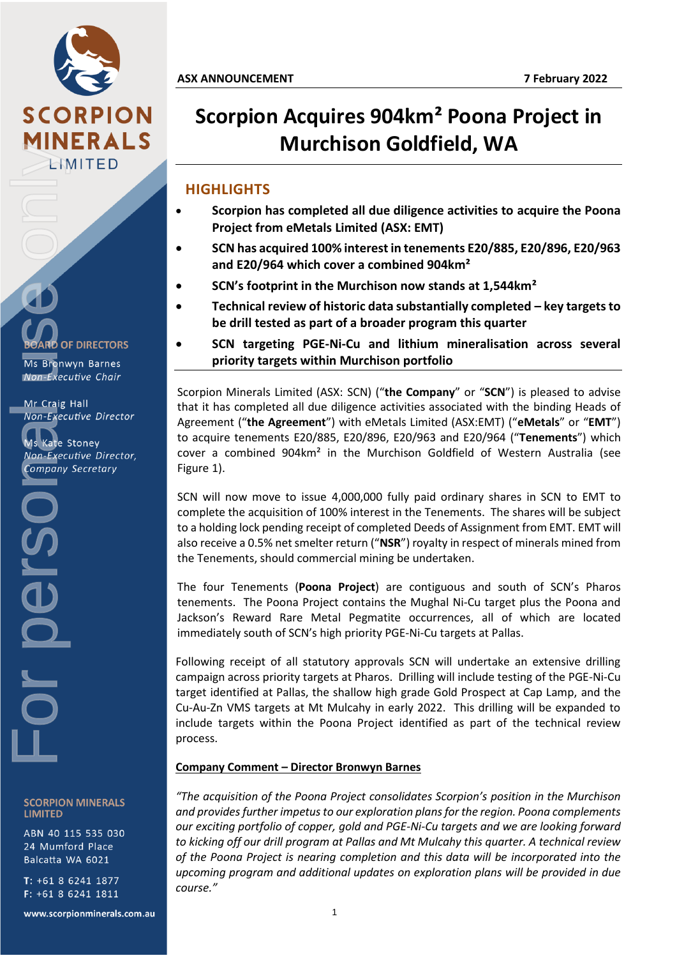

**OF DIRECTORS** 

Ms Bronwyn Barnes Non-Executive Chair

Mr Craig Hall Non-Executive Director

**Ms Kate Stoney** Non-Executive Director, **Company Secretary** 

For Concerned Western Manus Kate Sconner Won-Exect<br>
Non-Exect<br>
Company<br>
Company<br>
Company  $\overline{\mathbf{e}}$ 

> **SCORPION MINERALS LIMITED**

> ABN 40 115 535 030 24 Mumford Place Balcatta WA 6021

T: +61 8 6241 1877 F: +61 8 6241 1811

www.scorpionminerals.com.au

# **Scorpion Acquires 904km² Poona Project in Murchison Goldfield, WA**

## **HIGHLIGHTS**

- **Scorpion has completed all due diligence activities to acquire the Poona Project from eMetals Limited (ASX: EMT)**
- **SCN has acquired 100% interest in tenements E20/885, E20/896, E20/963 and E20/964 which cover a combined 904km²**
- **SCN's footprint in the Murchison now stands at 1,544km²**
- **Technical review of historic data substantially completed – key targets to be drill tested as part of a broader program this quarter**
- **SCN targeting PGE-Ni-Cu and lithium mineralisation across several priority targets within Murchison portfolio**

Scorpion Minerals Limited (ASX: SCN) ("**the Company**" or "**SCN**") is pleased to advise that it has completed all due diligence activities associated with the binding Heads of Agreement ("**the Agreement**") with eMetals Limited (ASX:EMT) ("**eMetals**" or "**EMT**") to acquire tenements E20/885, E20/896, E20/963 and E20/964 ("**Tenements**") which cover a combined 904km² in the Murchison Goldfield of Western Australia (see Figure 1).

SCN will now move to issue 4,000,000 fully paid ordinary shares in SCN to EMT to complete the acquisition of 100% interest in the Tenements. The shares will be subject to a holding lock pending receipt of completed Deeds of Assignment from EMT. EMT will also receive a 0.5% net smelter return ("**NSR**") royalty in respect of minerals mined from the Tenements, should commercial mining be undertaken.

The four Tenements (**Poona Project**) are contiguous and south of SCN's Pharos tenements. The Poona Project contains the Mughal Ni-Cu target plus the Poona and Jackson's Reward Rare Metal Pegmatite occurrences, all of which are located immediately south of SCN's high priority PGE-Ni-Cu targets at Pallas.

Following receipt of all statutory approvals SCN will undertake an extensive drilling campaign across priority targets at Pharos. Drilling will include testing of the PGE-Ni-Cu target identified at Pallas, the shallow high grade Gold Prospect at Cap Lamp, and the Cu-Au-Zn VMS targets at Mt Mulcahy in early 2022. This drilling will be expanded to include targets within the Poona Project identified as part of the technical review process.

### **Company Comment – Director Bronwyn Barnes**

*"The acquisition of the Poona Project consolidates Scorpion's position in the Murchison and provides further impetus to our exploration plans for the region. Poona complements our exciting portfolio of copper, gold and PGE-Ni-Cu targets and we are looking forward to kicking off our drill program at Pallas and Mt Mulcahy this quarter. A technical review of the Poona Project is nearing completion and this data will be incorporated into the upcoming program and additional updates on exploration plans will be provided in due course."*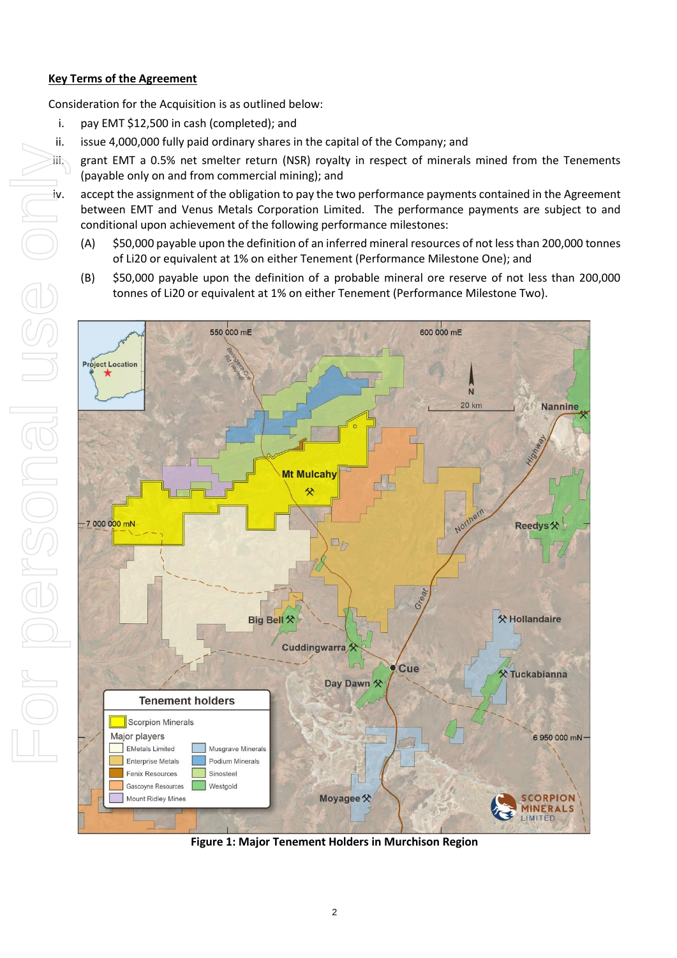#### **Key Terms of the Agreement**

Consideration for the Acquisition is as outlined below:

- i. pay EMT \$12,500 in cash (completed); and
- ii. issue 4,000,000 fully paid ordinary shares in the capital of the Company; and
- iii. grant EMT a 0.5% net smelter return (NSR) royalty in respect of minerals mined from the Tenements (payable only on and from commercial mining); and

iv. accept the assignment of the obligation to pay the two performance payments contained in the Agreement between EMT and Venus Metals Corporation Limited. The performance payments are subject to and conditional upon achievement of the following performance milestones:

- (A) \$50,000 payable upon the definition of an inferred mineral resources of not less than 200,000 tonnes of Li20 or equivalent at 1% on either Tenement (Performance Milestone One); and
- (B) \$50,000 payable upon the definition of a probable mineral ore reserve of not less than 200,000 tonnes of Li20 or equivalent at 1% on either Tenement (Performance Milestone Two).



**Figure 1: Major Tenement Holders in Murchison Region**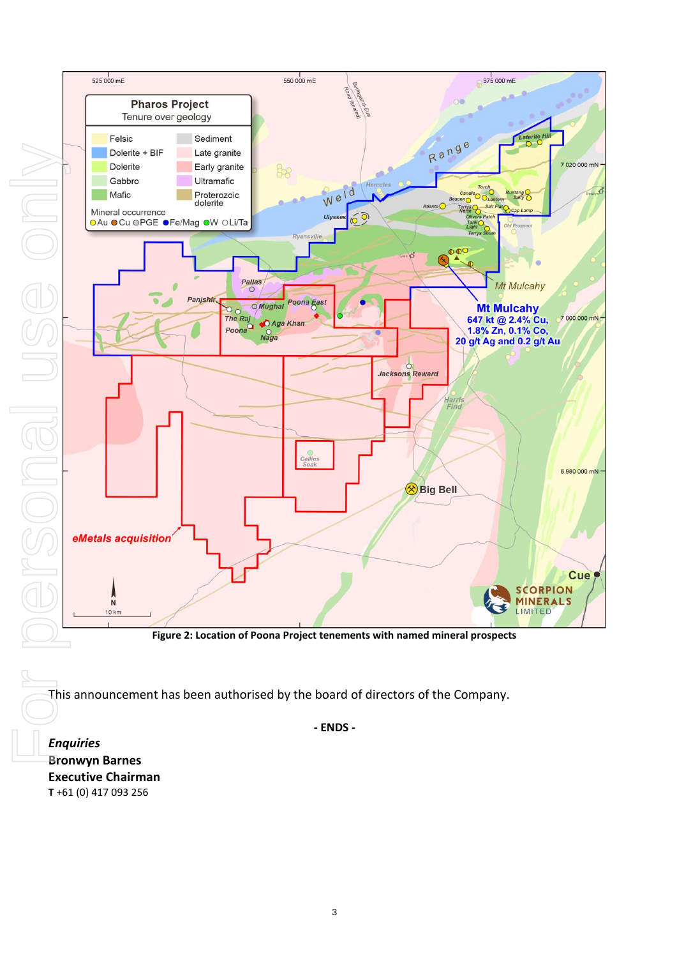Ryansvill Pallas Mt Mulcahy Panjshir, Poona East **O**Mughal **Mt Mulcahy** The Raj<br>
Poona<br>
Poona<br>
Poona<br>
C  $\sigma$ 647 kt @ 2.4% Cu,<br>1.8% Zn, 0.1% Co,<br>20 g/t Ag and 0.2 g/t Au  $N<sub>a</sub>$ Jacksons Reward larri<br>Find Big Bell SCORPION<br>MINERALS **Figure 2: Location of Poona Project tenements with named mineral prospects**

550 000 mE

88

Sediment

Late granite

Early granite

Ultramafic

Proterozoic<br>dolerite

Road

Weld

Ulys

 $\frac{1}{2}$ 575 000 mE

7 020 000 mN ·

7 000 000 mN -

6 980 000 mN ·

Cue

Range

Terrys O Salt F

Atlanta  $\bigcap$ 

This announcement has been authorised by the board of directors of the Company.

**- ENDS -**